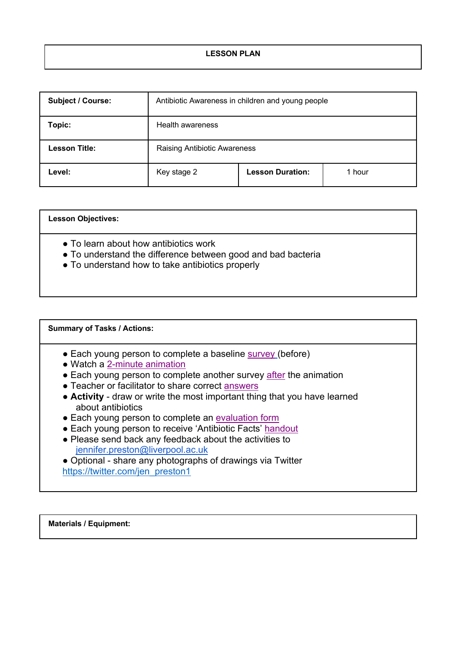| <b>Subject / Course:</b> | Antibiotic Awareness in children and young people |                         |        |  |
|--------------------------|---------------------------------------------------|-------------------------|--------|--|
| Topic:                   | Health awareness                                  |                         |        |  |
| <b>Lesson Title:</b>     | <b>Raising Antibiotic Awareness</b>               |                         |        |  |
| Level:                   | Key stage 2                                       | <b>Lesson Duration:</b> | 1 hour |  |

| <b>Lesson Objectives:</b>                                                                                                                                 |
|-----------------------------------------------------------------------------------------------------------------------------------------------------------|
| • To learn about how antibiotics work<br>• To understand the difference between good and bad bacteria<br>• To understand how to take antibiotics properly |

## **Summary of Tasks / Actions:** • Each young person to complete a baseline survey (before) ● Watch a 2-minute animation • Each young person to complete another survey after the animation • Teacher or facilitator to share correct answers ● **Activity** - draw or write the most important thing that you have learned about antibiotics • Each young person to complete an evaluation form • Each young person to receive 'Antibiotic Facts' handout ● Please send back any feedback about the activities to jennifer.preston@liverpool.ac.uk • Optional - share any photographs of drawings via Twitter https://twitter.com/jen\_preston1

**Materials / Equipment:**